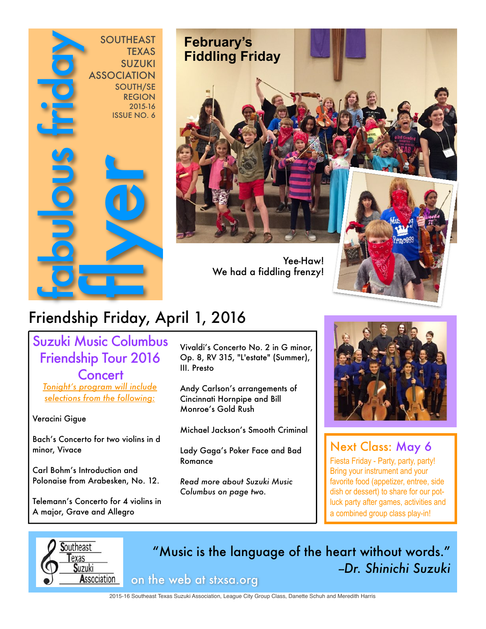



We had a fiddling frenzy!

# Yee-Haw!

## Friendship Friday, April 1, 2016

Suzuki Music Columbus Friendship Tour 2016 **Concert** 

*Tonight's program will include selections from the following:*

Veracini Gigue 

Bach's Concerto for two violins in d minor, Vivace 

Carl Bohm's Introduction and Polonaise from Arabesken, No. 12.

Telemann's Concerto for 4 violins in A major, Grave and Allegro

Vivaldi's Concerto No. 2 in G minor, Op. 8, RV 315, "L'estate" (Summer), III. Presto

Andy Carlson's arrangements of Cincinnati Hornpipe and Bill Monroe's Gold Rush

Michael Jackson's Smooth Criminal

Lady Gaga's Poker Face and Bad Romance 

*Read more about Suzuki Music Columbus on page two.*



### Next Class: May 6

Fiesta Friday - Party, party, party! Bring your instrument and your favorite food (appetizer, entree, side dish or dessert) to share for our potluck party after games, activities and a combined group class play-in!



"Music is the language of the heart without words." *--Dr. Shinichi Suzuki* on the web at stxsa.org

2015-16 Southeast Texas Suzuki Association, League City Group Class, Danette Schuh and Meredith Harris